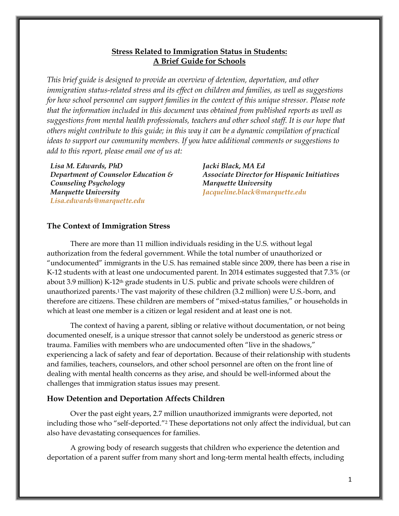### **Stress Related to Immigration Status in Students: A Brief Guide for Schools**

*This brief guide is designed to provide an overview of detention, deportation, and other immigration status-related stress and its effect on children and families, as well as suggestions for how school personnel can support families in the context of this unique stressor. Please note that the information included in this document was obtained from published reports as well as suggestions from mental health professionals, teachers and other school staff. It is our hope that others might contribute to this guide; in this way it can be a dynamic compilation of practical ideas to support our community members. If you have additional comments or suggestions to add to this report, please email one of us at:* 

*Lisa M. Edwards, PhD Department of Counselor Education & Counseling Psychology Marquette University [Lisa.edwards@marquette.edu](mailto:Lisa.edwards@marquette.edu)*

*Jacki Black, MA Ed Associate Director for Hispanic Initiatives Marquette University [Jacqueline.black@marquette.edu](mailto:Jacqueline.black@marquette.edu)*

#### **The Context of Immigration Stress**

There are more than 11 million individuals residing in the U.S. without legal authorization from the federal government. While the total number of unauthorized or "undocumented" immigrants in the U.S. has remained stable since 2009, there has been a rise in K-12 students with at least one undocumented parent. In 2014 estimates suggested that 7.3% (or about 3.9 million) K-12th grade students in U.S. public and private schools were children of unauthorized parents.1The vast majority of these children (3.2 million) were U.S.-born, and therefore are citizens. These children are members of "mixed-status families," or households in which at least one member is a citizen or legal resident and at least one is not.

The context of having a parent, sibling or relative without documentation, or not being documented oneself, is a unique stressor that cannot solely be understood as generic stress or trauma. Families with members who are undocumented often "live in the shadows," experiencing a lack of safety and fear of deportation. Because of their relationship with students and families, teachers, counselors, and other school personnel are often on the front line of dealing with mental health concerns as they arise, and should be well-informed about the challenges that immigration status issues may present.

#### **How Detention and Deportation Affects Children**

Over the past eight years, 2.7 million unauthorized immigrants were deported, not including those who "self-deported."<sup>2</sup> These deportations not only affect the individual, but can also have devastating consequences for families.

A growing body of research suggests that children who experience the detention and deportation of a parent suffer from many short and long-term mental health effects, including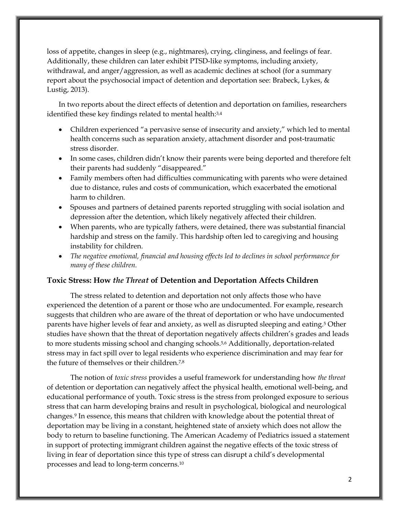loss of appetite, changes in sleep (e.g., nightmares), crying, clinginess, and feelings of fear. Additionally, these children can later exhibit PTSD-like symptoms, including anxiety, withdrawal, and anger/aggression, as well as academic declines at school (for a summary report about the psychosocial impact of detention and deportation see: Brabeck, Lykes, & Lustig, 2013).

In two reports about the direct effects of detention and deportation on families, researchers identified these key findings related to mental health:<sup>3,4</sup>

- Children experienced "a pervasive sense of insecurity and anxiety," which led to mental health concerns such as separation anxiety, attachment disorder and post-traumatic stress disorder.
- In some cases, children didn't know their parents were being deported and therefore felt their parents had suddenly "disappeared."
- Family members often had difficulties communicating with parents who were detained due to distance, rules and costs of communication, which exacerbated the emotional harm to children.
- Spouses and partners of detained parents reported struggling with social isolation and depression after the detention, which likely negatively affected their children.
- When parents, who are typically fathers, were detained, there was substantial financial hardship and stress on the family. This hardship often led to caregiving and housing instability for children.
- x *The negative emotional, financial and housing effects led to declines in school performance for many of these children.*

### **Toxic Stress: How** *the Threat* **of Detention and Deportation Affects Children**

The stress related to detention and deportation not only affects those who have experienced the detention of a parent or those who are undocumented. For example, research suggests that children who are aware of the threat of deportation or who have undocumented parents have higher levels of fear and anxiety, as well as disrupted sleeping and eating.5 Other studies have shown that the threat of deportation negatively affects children's grades and leads to more students missing school and changing schools.<sup>5,6</sup> Additionally, deportation-related stress may in fact spill over to legal residents who experience discrimination and may fear for the future of themselves or their children.7,8

The notion of *toxic stress* provides a useful framework for understanding how *the threat* of detention or deportation can negatively affect the physical health, emotional well-being, and educational performance of youth. Toxic stress is the stress from prolonged exposure to serious stress that can harm developing brains and result in psychological, biological and neurological changes.9 In essence, this means that children with knowledge about the potential threat of deportation may be living in a constant, heightened state of anxiety which does not allow the body to return to baseline functioning. The American Academy of Pediatrics issued a statement in support of protecting immigrant children against the negative effects of the toxic stress of living in fear of deportation since this type of stress can disrupt a child's developmental processes and lead to long-term concerns.10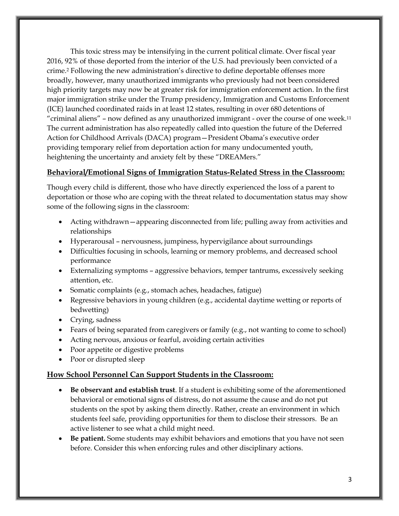This toxic stress may be intensifying in the current political climate. Over fiscal year 2016, 92% of those deported from the interior of the U.S. had previously been convicted of a crime.2 Following the new administration's directive to define deportable offenses more broadly, however, many unauthorized immigrants who previously had not been considered high priority targets may now be at greater risk for immigration enforcement action. In the first major immigration strike under the Trump presidency, Immigration and Customs Enforcement (ICE) launched coordinated raids in at least 12 states, resulting in over 680 detentions of "criminal aliens" – now defined as any unauthorized immigrant - over the course of one week.11 The current administration has also repeatedly called into question the future of the Deferred Action for Childhood Arrivals (DACA) program—President Obama's executive order providing temporary relief from deportation action for many undocumented youth, heightening the uncertainty and anxiety felt by these "DREAMers."

### **Behavioral/Emotional Signs of Immigration Status-Related Stress in the Classroom:**

Though every child is different, those who have directly experienced the loss of a parent to deportation or those who are coping with the threat related to documentation status may show some of the following signs in the classroom:

- Acting withdrawn—appearing disconnected from life; pulling away from activities and relationships
- Hyperarousal nervousness, jumpiness, hypervigilance about surroundings
- Difficulties focusing in schools, learning or memory problems, and decreased school performance
- Externalizing symptoms aggressive behaviors, temper tantrums, excessively seeking attention, etc.
- Somatic complaints (e.g., stomach aches, headaches, fatigue)
- Exercise behaviors in young children (e.g., accidental daytime wetting or reports of bedwetting)
- $\bullet$  Crying, sadness
- Fears of being separated from caregivers or family (e.g., not wanting to come to school)
- Acting nervous, anxious or fearful, avoiding certain activities
- Poor appetite or digestive problems
- Poor or disrupted sleep

# **How School Personnel Can Support Students in the Classroom:**

- x **Be observant and establish trust**. If a student is exhibiting some of the aforementioned behavioral or emotional signs of distress, do not assume the cause and do not put students on the spot by asking them directly. Rather, create an environment in which students feel safe, providing opportunities for them to disclose their stressors. Be an active listener to see what a child might need.
- x **Be patient.** Some students may exhibit behaviors and emotions that you have not seen before. Consider this when enforcing rules and other disciplinary actions.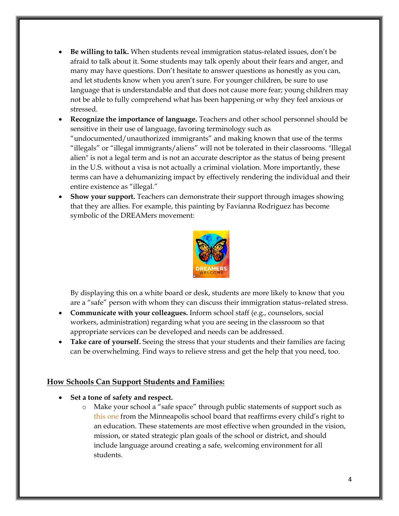- x **Be willing to talk.** When students reveal immigration status-related issues, don't be afraid to talk about it. Some students may talk openly about their fears and anger, and many may have questions. Don't hesitate to answer questions as honestly as you can, and let students know when you aren't sure. For younger children, be sure to use language that is understandable and that does not cause more fear; young children may not be able to fully comprehend what has been happening or why they feel anxious or stressed.
- **Recognize the importance of language.** Teachers and other school personnel should be sensitive in their use of language, favoring terminology such as "undocumented/unauthorized immigrants" and making known that use of the terms "illegals" or "illegal immigrants/aliens" will not be tolerated in their classrooms. "Illegal alien" is not a legal term and is not an accurate descriptor as the status of being present in the U.S. without a visa is not actually a criminal violation. More importantly, these terms can have a dehumanizing impact by effectively rendering the individual and their entire existence as "illegal."
- **Show your support.** Teachers can demonstrate their support through images showing that they are allies. For example, this painting by Favianna Rodriguez has become symbolic of the DREAMers movement:



By displaying this on a white board or desk, students are more likely to know that you are a "safe" person with whom they can discuss their immigration status–related stress.

- x **Communicate with your colleagues.** Inform school staff (e.g., counselors, social workers, administration) regarding what you are seeing in the classroom so that appropriate services can be developed and needs can be addressed.
- **Take care of yourself.** Seeing the stress that your students and their families are facing can be overwhelming. Find ways to relieve stress and get the help that you need, too.

## **How Schools Can Support Students and Families:**

- x **Set a tone of safety and respect.**
	- o Make your school a "safe space" through public statements of support such as [this one](https://v3.boardbook.org/Public/PublicItemDownload.aspx?ik=39770800) from the Minneapolis school board that reaffirms every child's right to an education. These statements are most effective when grounded in the vision, mission, or stated strategic plan goals of the school or district, and should include language around creating a safe, welcoming environment for all students.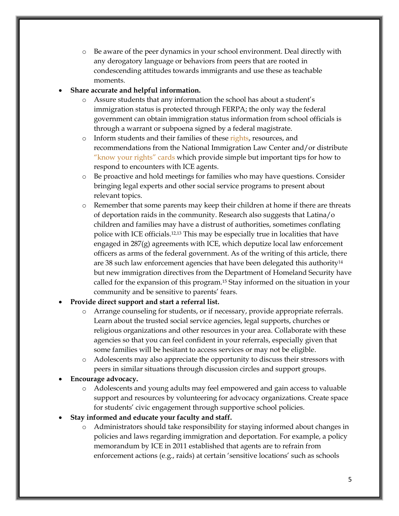o Be aware of the peer dynamics in your school environment. Deal directly with any derogatory language or behaviors from peers that are rooted in condescending attitudes towards immigrants and use these as teachable moments.

## x **Share accurate and helpful information.**

- o Assure students that any information the school has about a student's immigration status is protected through FERPA; the only way the federal government can obtain immigration status information from school officials is through a warrant or subpoena signed by a federal magistrate.
- o Inform students and their families of these [rights,](https://www.nilc.org/issues/immigration-enforcement/everyone-has-certain-basic-rights/) resources, and recommendations from the National Immigration Law Center and/or distribute ["know your rights" cards](http://unitedwedream.org/thank-deportation-defense-card-handy-phone/) which provide simple but important tips for how to respond to encounters with ICE agents.
- o Be proactive and hold meetings for families who may have questions. Consider bringing legal experts and other social service programs to present about relevant topics.
- o Remember that some parents may keep their children at home if there are threats of deportation raids in the community. Research also suggests that Latina/o children and families may have a distrust of authorities, sometimes conflating police with ICE officials.12,13 This may be especially true in localities that have engaged in  $287(g)$  agreements with ICE, which deputize local law enforcement officers as arms of the federal government. As of the writing of this article, there are 38 such law enforcement agencies that have been delegated this authority<sup>14</sup> but new immigration directives from the Department of Homeland Security have called for the expansion of this program.15 Stay informed on the situation in your community and be sensitive to parents' fears.

## x **Provide direct support and start a referral list.**

- o Arrange counseling for students, or if necessary, provide appropriate referrals. Learn about the trusted social service agencies, legal supports, churches or religious organizations and other resources in your area. Collaborate with these agencies so that you can feel confident in your referrals, especially given that some families will be hesitant to access services or may not be eligible.
- o Adolescents may also appreciate the opportunity to discuss their stressors with peers in similar situations through discussion circles and support groups.

### Encourage advocacy.

- o Adolescents and young adults may feel empowered and gain access to valuable support and resources by volunteering for advocacy organizations. Create space for students' civic engagement through supportive school policies.
- x **Stay informed and educate your faculty and staff.**
	- o Administrators should take responsibility for staying informed about changes in policies and laws regarding immigration and deportation. For example, a policy memorandum by ICE in 2011 established that agents are to refrain from enforcement actions (e.g., raids) at certain 'sensitive locations' such as schools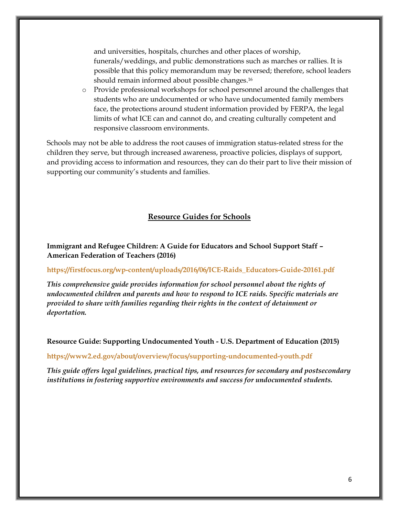and universities, hospitals, churches and other places of worship, funerals/weddings, and public demonstrations such as marches or rallies. It is possible that this policy memorandum may be reversed; therefore, school leaders should remain informed about possible changes.16

o Provide professional workshops for school personnel around the challenges that students who are undocumented or who have undocumented family members face, the protections around student information provided by FERPA, the legal limits of what ICE can and cannot do, and creating culturally competent and responsive classroom environments.

Schools may not be able to address the root causes of immigration status-related stress for the children they serve, but through increased awareness, proactive policies, displays of support, and providing access to information and resources, they can do their part to live their mission of supporting our community's students and families.

### **Resource Guides for Schools**

**Immigrant and Refugee Children: A Guide for Educators and School Support Staff – American Federation of Teachers (2016)**

**[https://firstfocus.org/wp-content/uploads/2016/06/ICE-Raids\\_Educators-Guide-20161.pdf](https://firstfocus.org/wp-content/uploads/2016/06/ICE-Raids_Educators-Guide-20161.pdf)**

*This comprehensive guide provides information for school personnel about the rights of undocumented children and parents and how to respond to ICE raids. Specific materials are provided to share with families regarding their rights in the context of detainment or deportation.* 

**Resource Guide: Supporting Undocumented Youth - U.S. Department of Education (2015)**

**<https://www2.ed.gov/about/overview/focus/supporting-undocumented-youth.pdf>**

*This guide offers legal guidelines, practical tips, and resources for secondary and postsecondary institutions in fostering supportive environments and success for undocumented students.*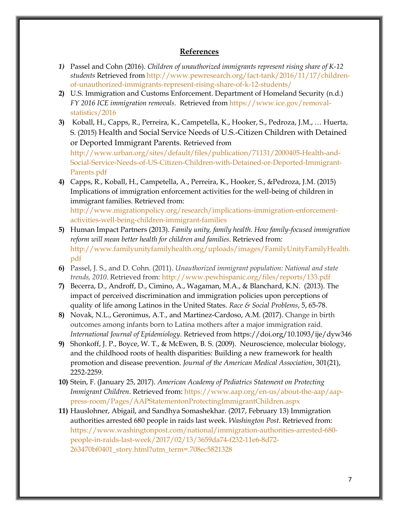### **References**

- *1)* Passel and Cohn (2016). *Children of unauthorized immigrants represent rising share of K-12 students* Retrieved from [http://www.pewresearch.org/fact-tank/2016/11/17/children](http://www.pewresearch.org/fact-tank/2016/11/17/children-of-unauthorized-immigrants-represent-rising-share-of-k-12-students/)[of-unauthorized-immigrants-represent-rising-share-of-k-12-students/](http://www.pewresearch.org/fact-tank/2016/11/17/children-of-unauthorized-immigrants-represent-rising-share-of-k-12-students/)
- **2)** U.S. Immigration and Customs Enforcement. Department of Homeland Security (n.d.) *FY 2016 ICE immigration removals*. Retrieved from [https://www.ice.gov/removal](https://www.ice.gov/removal-statistics/2016)[statistics/2016](https://www.ice.gov/removal-statistics/2016)
- **3)** Koball, H., Capps, R., Perreira, K., Campetella, K., Hooker, S., Pedroza, J.M., … Huerta, S. (2015) Health and Social Service Needs of U.S.-Citizen Children with Detained or Deported Immigrant Parents. Retrieved from

[http://www.urban.org/sites/default/files/publication/71131/2000405-Health-and-](http://www.urban.org/sites/default/files/publication/71131/2000405-Health-and-Social-Service-Needs-of-US-Citizen-Children-with-Detained-or-Deported-Immigrant-Parents.pdf)[Social-Service-Needs-of-US-Citizen-Children-with-Detained-or-Deported-Immigrant-](http://www.urban.org/sites/default/files/publication/71131/2000405-Health-and-Social-Service-Needs-of-US-Citizen-Children-with-Detained-or-Deported-Immigrant-Parents.pdf)[Parents.pdf](http://www.urban.org/sites/default/files/publication/71131/2000405-Health-and-Social-Service-Needs-of-US-Citizen-Children-with-Detained-or-Deported-Immigrant-Parents.pdf) 

**4)** Capps, R., Koball, H., Campetella, A., Perreira, K., Hooker, S., &Pedroza, J.M. (2015) Implications of immigration enforcement activities for the well-being of children in immigrant families. Retrieved from:

[http://www.migrationpolicy.org/research/implications-immigration-enforcement](http://www.migrationpolicy.org/research/implications-immigration-enforcement-activities-well-being-children-immigrant-families)[activities-well-being-children-immigrant-families](http://www.migrationpolicy.org/research/implications-immigration-enforcement-activities-well-being-children-immigrant-families)

- **5)** Human Impact Partners (2013). *Family unity, family health. How family-focused immigration reform will mean better health for children and families*. Retrieved from: [http://www.familyunityfamilyhealth.org/uploads/images/FamilyUnityFamilyHealth.](http://www.familyunityfamilyhealth.org/uploads/images/FamilyUnityFamilyHealth.pdf) [pdf](http://www.familyunityfamilyhealth.org/uploads/images/FamilyUnityFamilyHealth.pdf)
- **6)** Passel, J. S., and D. Cohn. (2011). *Unauthorized immigrant population: National and state trends, 2010*. Retrieved from:<http://www.pewhispanic.org/files/reports/133.pdf>
- **7)** Becerra, D., Androff, D., Cimino, A., Wagaman, M.A., & Blanchard, K.N. (2013). The impact of perceived discrimination and immigration policies upon perceptions of quality of life among Latinos in the United States. *Race & Social Problems*, 5, 65-78.
- **8)** Novak, N.L., Geronimus, A.T., and Martinez-Cardoso, A.M. (2017). Change in birth outcomes among infants born to Latina mothers after a major immigration raid. *International Journal of Epidemiology*. Retrieved from https://doi.org/10.1093/ije/dyw346
- **9)** Shonkoff, J. P., Boyce, W. T., & McEwen, B. S. (2009). Neuroscience, molecular biology, and the childhood roots of health disparities: Building a new framework for health promotion and disease prevention. *Journal of the American Medical Association*, 301(21), 2252-2259.
- **10)** Stein, F. (January 25, 2017). *American Academy of Pediatrics Statement on Protecting Immigrant Children*. Retrieved from: [https://www.aap.org/en-us/about-the-aap/aap](https://www.aap.org/en-us/about-the-aap/aap-press-room/Pages/AAPStatementonProtectingImmigrantChildren.aspx)[press-room/Pages/AAPStatementonProtectingImmigrantChildren.aspx](https://www.aap.org/en-us/about-the-aap/aap-press-room/Pages/AAPStatementonProtectingImmigrantChildren.aspx)
- **11)** Hauslohner, Abigail, and Sandhya Somashekhar. (2017, February 13) Immigration authorities arrested 680 people in raids last week. *Washington Post*. Retrieved from: [https://www.washingtonpost.com/national/immigration-authorities-arrested-680](https://www.washingtonpost.com/national/immigration-authorities-arrested-680-people-in-raids-last-week/2017/02/13/3659da74-f232-11e6-8d72-263470bf0401_story.html?utm_term=.708ec5821328) [people-in-raids-last-week/2017/02/13/3659da74-f232-11e6-8d72-](https://www.washingtonpost.com/national/immigration-authorities-arrested-680-people-in-raids-last-week/2017/02/13/3659da74-f232-11e6-8d72-263470bf0401_story.html?utm_term=.708ec5821328) [263470bf0401\\_story.html?utm\\_term=.708ec5821328](https://www.washingtonpost.com/national/immigration-authorities-arrested-680-people-in-raids-last-week/2017/02/13/3659da74-f232-11e6-8d72-263470bf0401_story.html?utm_term=.708ec5821328)